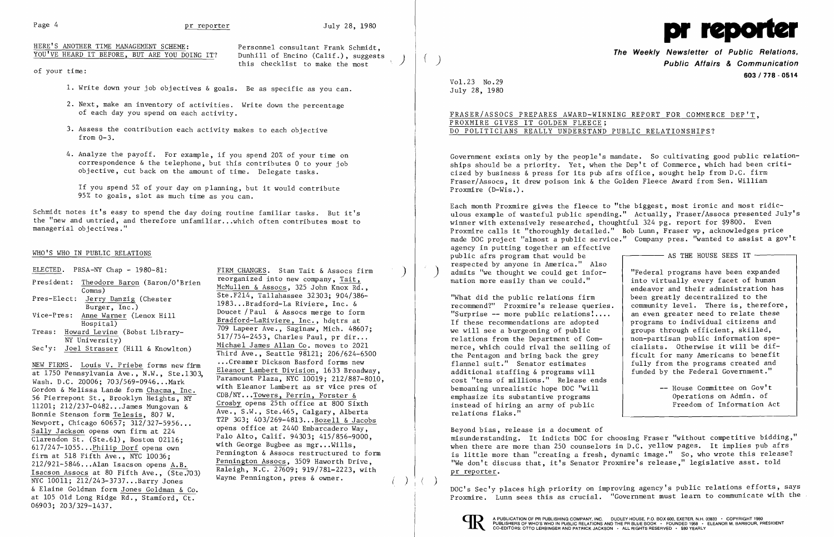this checklist to make the most

HERE'S ANOTHER TIME MANAGEMENT SCHEME:<br>YOU'VE HEARD IT BEFORE, BUT ARE YOU DOING IT? Dunhill of Encino (Calif.), suggests YOU'VE HEARD IT BEFORE, BUT ARE YOU DOING IT?

of your time:

- 1. Write down your job objectives & goals. Be as specific as you can.
- 2. Next, make an inventory of activities. Write down the percentage of each day you spend on each activity.
- 3. Assess the contribution each activity makes to each objective from 0-3.
- 4. Analyze the payoff. For example, if you spend 20% of your time on correspondence & the telephone, but this contributes 0 to your job objective, cut back on the amount of time. Delegate tasks.

If you spend 5% of your day on planning, but it would contribute 95% to goals, slot as much time as you can.

Schmidt notes it's easy to spend the day doing routine familiar tasks. But it's the "new and untried, and therefore unfamiliar...which often contributes most to managerial objectives."

## WHO'S WHO IN PUBLIC RELATIONS

- 
- 

at 1750 Pennsylvania Ave., N.W., Ste.1303, Eleanor Lambert Division, 1633 Broadway, Wash. D.C. 20006; 703/569-0946...Mark ratamount Plaza, NYC 10019; 212/887-8010<br>Gordon & Melissa Lande form Chacma, Inc. with Eleanor Lambert as sr vice pres of<br>56 Pierrepent St. Presklyn Weishte NY. CDB/NY...Towers, Perri 56 Pierrepont St., Brooklyn Heights, NY Crosby opens 25th office at 800 Sixth<br>
Bonnie Stenson form Telesis, 807 W.<br>
Ave., S.W., Ste.465, Calgary, Alberta Newport, Chicago 60657; 312/327-5956...<br>
Sally Jackson opens own firm at 224 opens office at 2440 Embarcadero Way,<br>
Clarendon St. (Ste.61), Boston 02116: Palo Alto, Calif. 94303; 415/856-9000, Clarendon St. (Ste.61), Boston 02116;<br>
617/247-1055...Philip Dorf opens own<br>
firm at 518 Fifth Ave., NYC 10036;<br>
212/921-5846...Alan Isacson opens <u>A.B.</u><br>
Pennington Assocs restructured to form<br>
Pennington Assocs, 3509 Haw  $\frac{12}{921-5846...$  Alan Isacson opens A.B.<br>
Isacson Assocs at 80 Fifth Ave., (Ste.703) Raleigh, N.C. 27609; 919/781-2223, with<br>
NYC 10011; 212/243-3737...Barry Jones<br>
Wayne Pennington, pres & owner. & Elaine Goldman form Jones Goldman & Co. at 105 Old Long Ridge Rd., Stamford, Ct. 06903; 203/329-1437.

ELECTED. PRSA-NY Chap - 1980-81:<br>Procidents Theodore Renew (Ren. 1981). FIRM CHANGES. Stan Tait & Assocs firm President: Theodore Baron (Baron/O'Brien<br>
Comms)<br>
Pres-Elect: <u>Jerry Danzig</u> (Chester<br>
Burger, Inc.)<br>
Vice-Pres: <u>Anne Warmer</u> (Lenox Hill<br>
Hospital)<br>
Treas: <u>Howard Levine</u> (Bobst Library-<br>
Treas: <u>Howard Levine</u> (Bobst L SER TRING. Louis V. Priebe forms new firm<br>
Third Ave., Seattle 98121; 206/624-6500<br>
Leanor Lambert Division, 1633 Broadway, Ave., S.W., Ste. 465, Calgary, Alberta<br>T2P 3G3; 403/269-4813... Bozell & Jacobs

into virtually every facet of human endeavor and their administration has "What did the public relations firm  $\begin{array}{c}$  been greatly decentralized to the recommend?" Proxmire's release queries.  $\end{array}$  community level. There is, therefore, groups through efficient, skilled,<br>non-partisan public information spefully from the programs created and<br>funded by the Federal Government."

recommend?" Proxmire's release queries. community level. There is, therefore<br>"Surprise -- more public relations!.... an even greater need to relate these "Surprise -- more public relations ....<br>If these recommendations are adopted If these recommendations are adopted programs to individual citizens and we will see a burgeoning of public  $\begin{array}{|l|l|}\n\hline\n\end{array}$  proups through efficient, skilled, relations from the Department of Com-<br>merce, which could rival the selling of  $\vert$  cialists. Otherwise it will be difmerce, which could rival the selling of  $\vert$  cialists. Otherwise it will be dif-<br>the Pentagon and bring back the grey ficult for many Americans to benefit the Pentagon and bring back the grey<br>flannel suit." Senator estimates additional staffing & programs will cost "tens of millions." Release ends bemoaning unrealistic hope DOC "will  $\begin{array}{ccc} - & - & \text{House Committee on Gov't} \\ \text{emphasize its substance in Admin. of} \end{array}$ emphasize its substantive programs (and the operations on Admin. of instead of hiring an army of public  $\overline{a}$  and  $\overline{b}$  army of public  $\overline{b}$  are  $\overline{b}$  are  $\overline{b}$  are  $\overline{b}$  are  $\overline{b}$  are  $\overline{b}$  are  $\over$ instead of hiring an army of public relations flaks."

)

 $\big)$ 

 $\left. \right)$ 



**The Weekly Newsletter of Public Relations,** ( ) **Public Affairs & Communication 603/178 - 0514** 

Vol. 23 No. 29 July 28, 1980

## FRASER/ASSOCS PREPARES AWARD-WINNING REPORT FOR COMMERCE DEP'T, PROXMIRE GIVES IT GOLDEN FLEECE; DO POLITICIANS REALLY UNDERSTAND PUBLIC RELATIONSHIPS?

Government exists only by the people's mandate. So cultivating good public relationships should be a priority. Yet, when the Dep't of Commerce, which had been criticized by business & press for its pub afrs office, sought help from D.C. firm Fraser/Assocs, it drew poison ink & the Golden Fleece Award from Sen. William Proxmire (D-Wis.).

Each month Proxmire gives the fleece to "the biggest, most ironic and most ridiculous example of wasteful public spending." Actually, Fraser/Assocs presented July's winner with extensively researched, thoughtful 324 pg. report for \$9800. Even Proxmire calls it "thoroughly detailed." Bob Lunn, Fraser vp, acknowledges price made DOC project "almost a public service." Company pres. "wanted to assist a gov't agency in putting together an effective public afrs program that would be  $\overline{r}$  as THE HOUSE SEES IT  $\overline{r}$  respected by anyone in America." Also ) respected by anyone in America." Also admits "we thought we could get information more easily than we could." "Federal programs have been expanded

Beyond bias, release is a document of misunderstanding. It indicts DOC for choosing Fraser "without competitive bidding," when there are more than 250 counselors in D.C. yellow pages. It implies pub afrs is little more than "creating a fresh, dynamic image." So, who wrote this release? "We don't discuss that, it's Senator Proxmire's release," legislative asst. told pr reporter.

) DOC's Sec'y places high priority on improving agency's public relations efforts, says Proxmire. Lunn sees this as crucial. "Government must learn to communicate with the